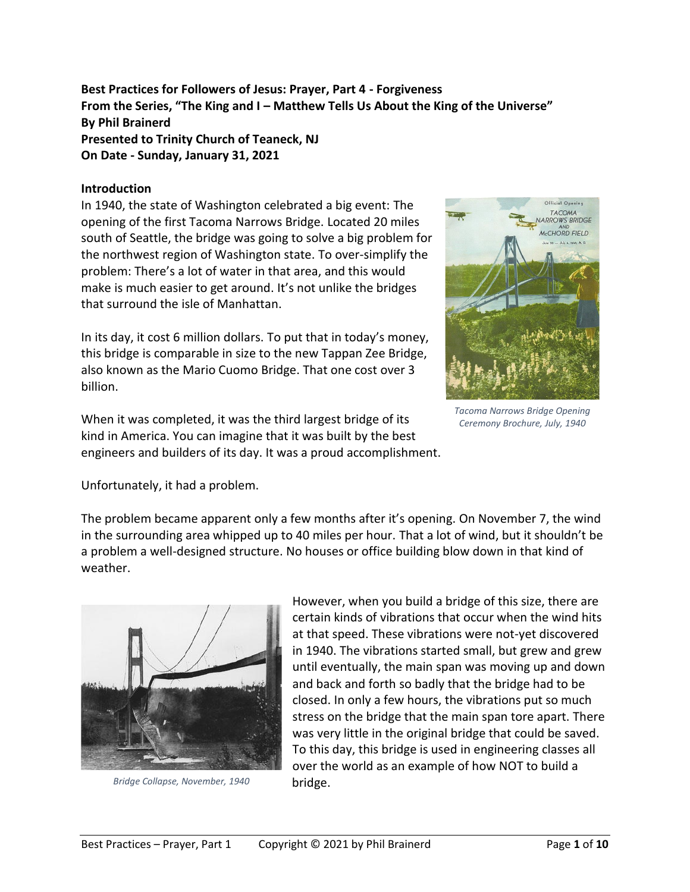**Best Practices for Followers of Jesus: Prayer, Part 4 - Forgiveness From the Series, "The King and I – Matthew Tells Us About the King of the Universe" By Phil Brainerd Presented to Trinity Church of Teaneck, NJ On Date - Sunday, January 31, 2021**

#### **Introduction**

In 1940, the state of Washington celebrated a big event: The opening of the first Tacoma Narrows Bridge. Located 20 miles south of Seattle, the bridge was going to solve a big problem for the northwest region of Washington state. To over-simplify the problem: There's a lot of water in that area, and this would make is much easier to get around. It's not unlike the bridges that surround the isle of Manhattan.

In its day, it cost 6 million dollars. To put that in today's money, this bridge is comparable in size to the new Tappan Zee Bridge, also known as the Mario Cuomo Bridge. That one cost over 3 billion.

When it was completed, it was the third largest bridge of its kind in America. You can imagine that it was built by the best engineers and builders of its day. It was a proud accomplishment.



*Tacoma Narrows Bridge Opening Ceremony Brochure, July, 1940*

Unfortunately, it had a problem.

The problem became apparent only a few months after it's opening. On November 7, the wind in the surrounding area whipped up to 40 miles per hour. That a lot of wind, but it shouldn't be a problem a well-designed structure. No houses or office building blow down in that kind of weather.



*Bridge Collapse, November, 1940*

However, when you build a bridge of this size, there are certain kinds of vibrations that occur when the wind hits at that speed. These vibrations were not-yet discovered in 1940. The vibrations started small, but grew and grew until eventually, the main span was moving up and down and back and forth so badly that the bridge had to be closed. In only a few hours, the vibrations put so much stress on the bridge that the main span tore apart. There was very little in the original bridge that could be saved. To this day, this bridge is used in engineering classes all over the world as an example of how NOT to build a bridge.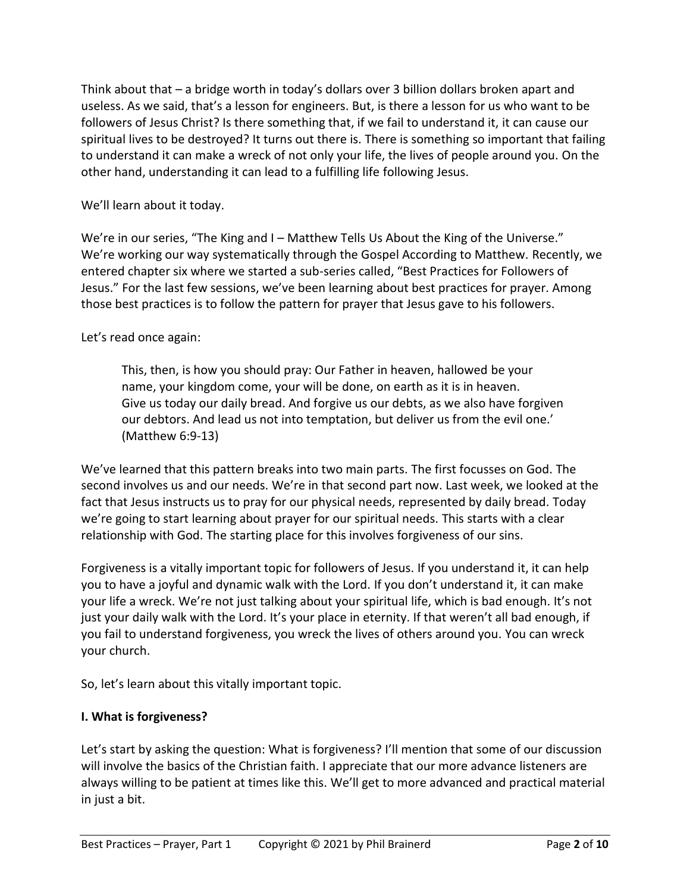Think about that – a bridge worth in today's dollars over 3 billion dollars broken apart and useless. As we said, that's a lesson for engineers. But, is there a lesson for us who want to be followers of Jesus Christ? Is there something that, if we fail to understand it, it can cause our spiritual lives to be destroyed? It turns out there is. There is something so important that failing to understand it can make a wreck of not only your life, the lives of people around you. On the other hand, understanding it can lead to a fulfilling life following Jesus.

We'll learn about it today.

We're in our series, "The King and I – Matthew Tells Us About the King of the Universe." We're working our way systematically through the Gospel According to Matthew. Recently, we entered chapter six where we started a sub-series called, "Best Practices for Followers of Jesus." For the last few sessions, we've been learning about best practices for prayer. Among those best practices is to follow the pattern for prayer that Jesus gave to his followers.

Let's read once again:

This, then, is how you should pray: Our Father in heaven, hallowed be your name, your kingdom come, your will be done, on earth as it is in heaven. Give us today our daily bread. And forgive us our debts, as we also have forgiven our debtors. And lead us not into temptation, but deliver us from the evil one.' (Matthew 6:9-13)

We've learned that this pattern breaks into two main parts. The first focusses on God. The second involves us and our needs. We're in that second part now. Last week, we looked at the fact that Jesus instructs us to pray for our physical needs, represented by daily bread. Today we're going to start learning about prayer for our spiritual needs. This starts with a clear relationship with God. The starting place for this involves forgiveness of our sins.

Forgiveness is a vitally important topic for followers of Jesus. If you understand it, it can help you to have a joyful and dynamic walk with the Lord. If you don't understand it, it can make your life a wreck. We're not just talking about your spiritual life, which is bad enough. It's not just your daily walk with the Lord. It's your place in eternity. If that weren't all bad enough, if you fail to understand forgiveness, you wreck the lives of others around you. You can wreck your church.

So, let's learn about this vitally important topic.

## **I. What is forgiveness?**

Let's start by asking the question: What is forgiveness? I'll mention that some of our discussion will involve the basics of the Christian faith. I appreciate that our more advance listeners are always willing to be patient at times like this. We'll get to more advanced and practical material in just a bit.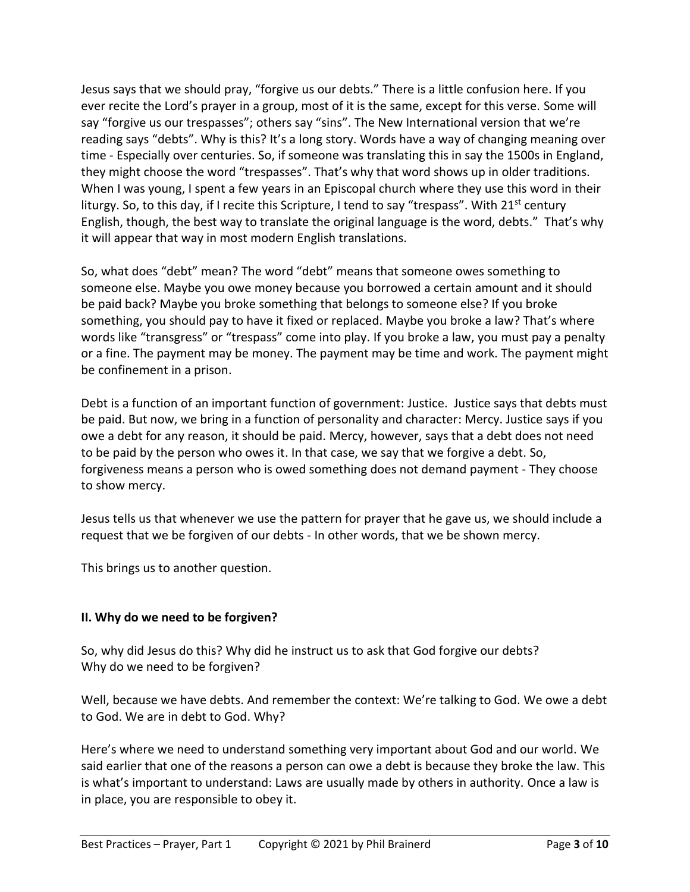Jesus says that we should pray, "forgive us our debts." There is a little confusion here. If you ever recite the Lord's prayer in a group, most of it is the same, except for this verse. Some will say "forgive us our trespasses"; others say "sins". The New International version that we're reading says "debts". Why is this? It's a long story. Words have a way of changing meaning over time - Especially over centuries. So, if someone was translating this in say the 1500s in England, they might choose the word "trespasses". That's why that word shows up in older traditions. When I was young, I spent a few years in an Episcopal church where they use this word in their liturgy. So, to this day, if I recite this Scripture, I tend to say "trespass". With  $21<sup>st</sup>$  century English, though, the best way to translate the original language is the word, debts." That's why it will appear that way in most modern English translations.

So, what does "debt" mean? The word "debt" means that someone owes something to someone else. Maybe you owe money because you borrowed a certain amount and it should be paid back? Maybe you broke something that belongs to someone else? If you broke something, you should pay to have it fixed or replaced. Maybe you broke a law? That's where words like "transgress" or "trespass" come into play. If you broke a law, you must pay a penalty or a fine. The payment may be money. The payment may be time and work. The payment might be confinement in a prison.

Debt is a function of an important function of government: Justice. Justice says that debts must be paid. But now, we bring in a function of personality and character: Mercy. Justice says if you owe a debt for any reason, it should be paid. Mercy, however, says that a debt does not need to be paid by the person who owes it. In that case, we say that we forgive a debt. So, forgiveness means a person who is owed something does not demand payment - They choose to show mercy.

Jesus tells us that whenever we use the pattern for prayer that he gave us, we should include a request that we be forgiven of our debts - In other words, that we be shown mercy.

This brings us to another question.

# **II. Why do we need to be forgiven?**

So, why did Jesus do this? Why did he instruct us to ask that God forgive our debts? Why do we need to be forgiven?

Well, because we have debts. And remember the context: We're talking to God. We owe a debt to God. We are in debt to God. Why?

Here's where we need to understand something very important about God and our world. We said earlier that one of the reasons a person can owe a debt is because they broke the law. This is what's important to understand: Laws are usually made by others in authority. Once a law is in place, you are responsible to obey it.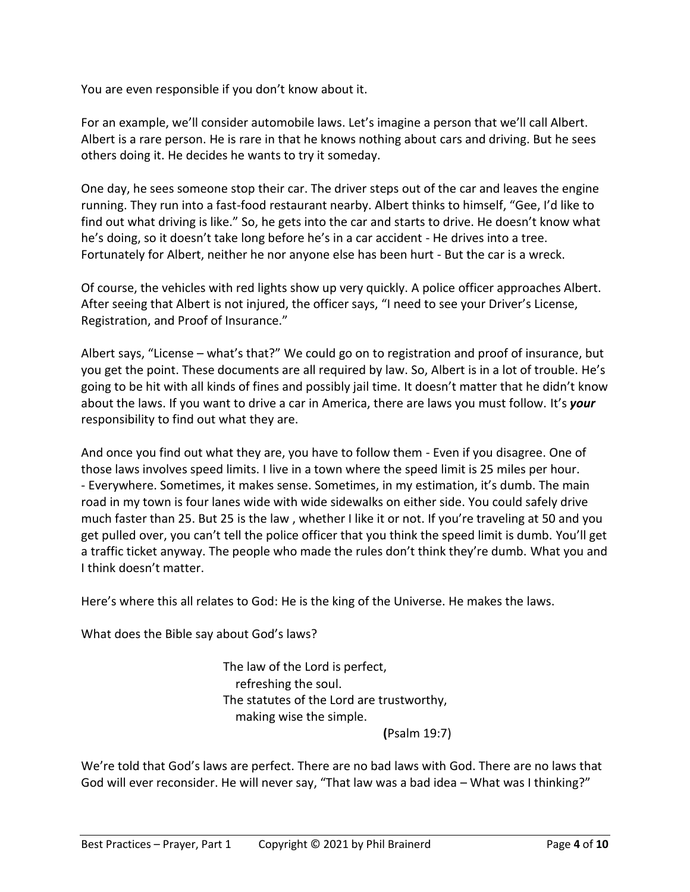You are even responsible if you don't know about it.

For an example, we'll consider automobile laws. Let's imagine a person that we'll call Albert. Albert is a rare person. He is rare in that he knows nothing about cars and driving. But he sees others doing it. He decides he wants to try it someday.

One day, he sees someone stop their car. The driver steps out of the car and leaves the engine running. They run into a fast-food restaurant nearby. Albert thinks to himself, "Gee, I'd like to find out what driving is like." So, he gets into the car and starts to drive. He doesn't know what he's doing, so it doesn't take long before he's in a car accident - He drives into a tree. Fortunately for Albert, neither he nor anyone else has been hurt - But the car is a wreck.

Of course, the vehicles with red lights show up very quickly. A police officer approaches Albert. After seeing that Albert is not injured, the officer says, "I need to see your Driver's License, Registration, and Proof of Insurance."

Albert says, "License – what's that?" We could go on to registration and proof of insurance, but you get the point. These documents are all required by law. So, Albert is in a lot of trouble. He's going to be hit with all kinds of fines and possibly jail time. It doesn't matter that he didn't know about the laws. If you want to drive a car in America, there are laws you must follow. It's *your* responsibility to find out what they are.

And once you find out what they are, you have to follow them - Even if you disagree. One of those laws involves speed limits. I live in a town where the speed limit is 25 miles per hour. - Everywhere. Sometimes, it makes sense. Sometimes, in my estimation, it's dumb. The main road in my town is four lanes wide with wide sidewalks on either side. You could safely drive much faster than 25. But 25 is the law , whether I like it or not. If you're traveling at 50 and you get pulled over, you can't tell the police officer that you think the speed limit is dumb. You'll get a traffic ticket anyway. The people who made the rules don't think they're dumb. What you and I think doesn't matter.

Here's where this all relates to God: He is the king of the Universe. He makes the laws.

What does the Bible say about God's laws?

The law of the Lord is perfect, refreshing the soul. The statutes of the Lord are trustworthy, making wise the simple.

**(**Psalm 19:7)

We're told that God's laws are perfect. There are no bad laws with God. There are no laws that God will ever reconsider. He will never say, "That law was a bad idea – What was I thinking?"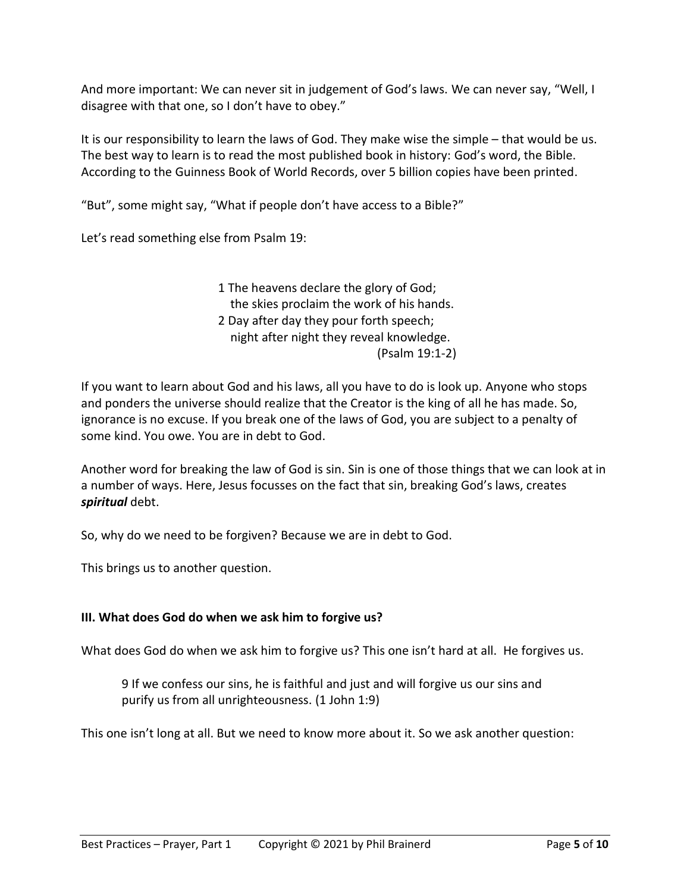And more important: We can never sit in judgement of God's laws. We can never say, "Well, I disagree with that one, so I don't have to obey."

It is our responsibility to learn the laws of God. They make wise the simple – that would be us. The best way to learn is to read the most published book in history: God's word, the Bible. According to the Guinness Book of World Records, over 5 billion copies have been printed.

"But", some might say, "What if people don't have access to a Bible?"

Let's read something else from Psalm 19:

1 The heavens declare the glory of God; the skies proclaim the work of his hands. 2 Day after day they pour forth speech; night after night they reveal knowledge. (Psalm 19:1-2)

If you want to learn about God and his laws, all you have to do is look up. Anyone who stops and ponders the universe should realize that the Creator is the king of all he has made. So, ignorance is no excuse. If you break one of the laws of God, you are subject to a penalty of some kind. You owe. You are in debt to God.

Another word for breaking the law of God is sin. Sin is one of those things that we can look at in a number of ways. Here, Jesus focusses on the fact that sin, breaking God's laws, creates *spiritual* debt.

So, why do we need to be forgiven? Because we are in debt to God.

This brings us to another question.

## **III. What does God do when we ask him to forgive us?**

What does God do when we ask him to forgive us? This one isn't hard at all. He forgives us.

9 If we confess our sins, he is faithful and just and will forgive us our sins and purify us from all unrighteousness. (1 John 1:9)

This one isn't long at all. But we need to know more about it. So we ask another question: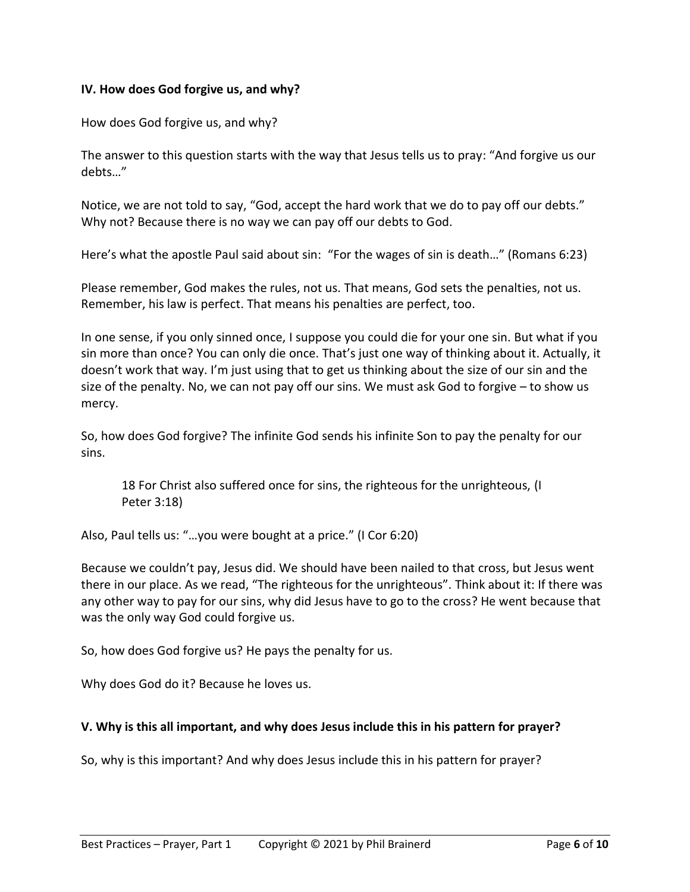#### **IV. How does God forgive us, and why?**

How does God forgive us, and why?

The answer to this question starts with the way that Jesus tells us to pray: "And forgive us our debts…"

Notice, we are not told to say, "God, accept the hard work that we do to pay off our debts." Why not? Because there is no way we can pay off our debts to God.

Here's what the apostle Paul said about sin: "For the wages of sin is death…" (Romans 6:23)

Please remember, God makes the rules, not us. That means, God sets the penalties, not us. Remember, his law is perfect. That means his penalties are perfect, too.

In one sense, if you only sinned once, I suppose you could die for your one sin. But what if you sin more than once? You can only die once. That's just one way of thinking about it. Actually, it doesn't work that way. I'm just using that to get us thinking about the size of our sin and the size of the penalty. No, we can not pay off our sins. We must ask God to forgive – to show us mercy.

So, how does God forgive? The infinite God sends his infinite Son to pay the penalty for our sins.

18 For Christ also suffered once for sins, the righteous for the unrighteous, (I Peter 3:18)

Also, Paul tells us: "…you were bought at a price." (I Cor 6:20)

Because we couldn't pay, Jesus did. We should have been nailed to that cross, but Jesus went there in our place. As we read, "The righteous for the unrighteous". Think about it: If there was any other way to pay for our sins, why did Jesus have to go to the cross? He went because that was the only way God could forgive us.

So, how does God forgive us? He pays the penalty for us.

Why does God do it? Because he loves us.

## **V. Why is this all important, and why does Jesus include this in his pattern for prayer?**

So, why is this important? And why does Jesus include this in his pattern for prayer?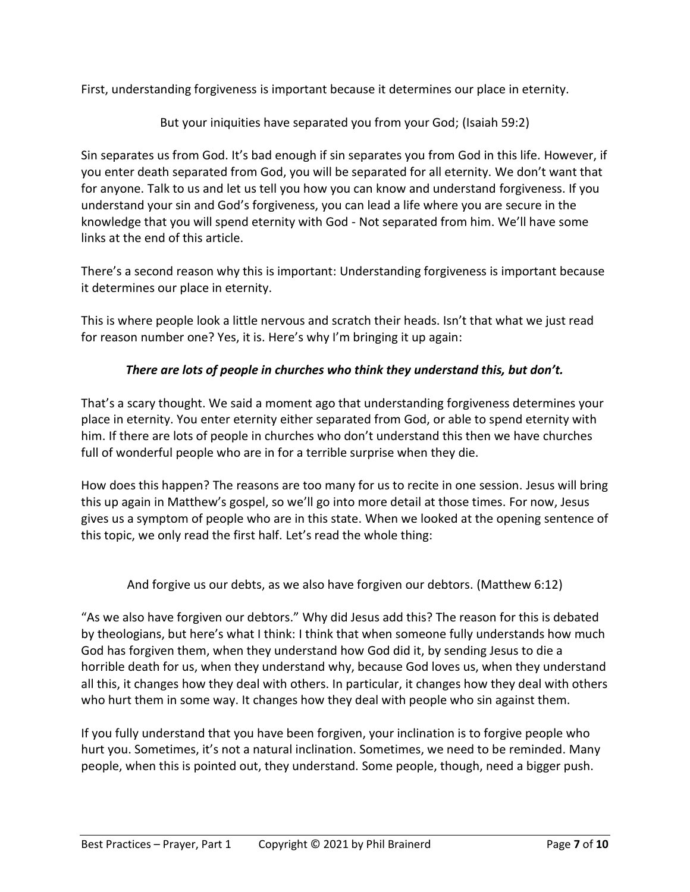First, understanding forgiveness is important because it determines our place in eternity.

But your iniquities have separated you from your God; (Isaiah 59:2)

Sin separates us from God. It's bad enough if sin separates you from God in this life. However, if you enter death separated from God, you will be separated for all eternity. We don't want that for anyone. Talk to us and let us tell you how you can know and understand forgiveness. If you understand your sin and God's forgiveness, you can lead a life where you are secure in the knowledge that you will spend eternity with God - Not separated from him. We'll have some links at the end of this article.

There's a second reason why this is important: Understanding forgiveness is important because it determines our place in eternity.

This is where people look a little nervous and scratch their heads. Isn't that what we just read for reason number one? Yes, it is. Here's why I'm bringing it up again:

# *There are lots of people in churches who think they understand this, but don't.*

That's a scary thought. We said a moment ago that understanding forgiveness determines your place in eternity. You enter eternity either separated from God, or able to spend eternity with him. If there are lots of people in churches who don't understand this then we have churches full of wonderful people who are in for a terrible surprise when they die.

How does this happen? The reasons are too many for us to recite in one session. Jesus will bring this up again in Matthew's gospel, so we'll go into more detail at those times. For now, Jesus gives us a symptom of people who are in this state. When we looked at the opening sentence of this topic, we only read the first half. Let's read the whole thing:

And forgive us our debts, as we also have forgiven our debtors. (Matthew 6:12)

"As we also have forgiven our debtors." Why did Jesus add this? The reason for this is debated by theologians, but here's what I think: I think that when someone fully understands how much God has forgiven them, when they understand how God did it, by sending Jesus to die a horrible death for us, when they understand why, because God loves us, when they understand all this, it changes how they deal with others. In particular, it changes how they deal with others who hurt them in some way. It changes how they deal with people who sin against them.

If you fully understand that you have been forgiven, your inclination is to forgive people who hurt you. Sometimes, it's not a natural inclination. Sometimes, we need to be reminded. Many people, when this is pointed out, they understand. Some people, though, need a bigger push.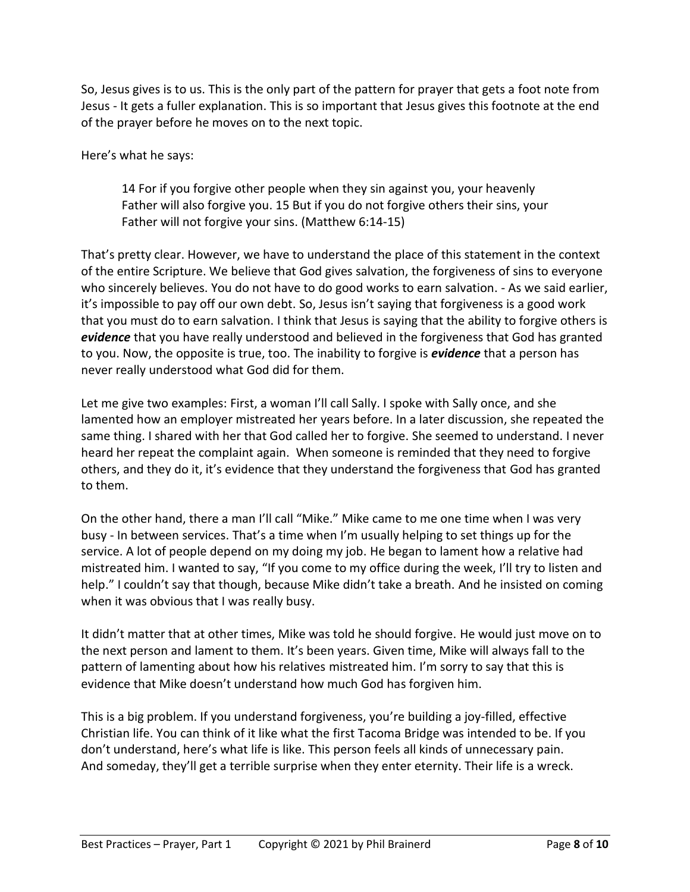So, Jesus gives is to us. This is the only part of the pattern for prayer that gets a foot note from Jesus - It gets a fuller explanation. This is so important that Jesus gives this footnote at the end of the prayer before he moves on to the next topic.

Here's what he says:

14 For if you forgive other people when they sin against you, your heavenly Father will also forgive you. 15 But if you do not forgive others their sins, your Father will not forgive your sins. (Matthew 6:14-15)

That's pretty clear. However, we have to understand the place of this statement in the context of the entire Scripture. We believe that God gives salvation, the forgiveness of sins to everyone who sincerely believes. You do not have to do good works to earn salvation. - As we said earlier, it's impossible to pay off our own debt. So, Jesus isn't saying that forgiveness is a good work that you must do to earn salvation. I think that Jesus is saying that the ability to forgive others is *evidence* that you have really understood and believed in the forgiveness that God has granted to you. Now, the opposite is true, too. The inability to forgive is *evidence* that a person has never really understood what God did for them.

Let me give two examples: First, a woman I'll call Sally. I spoke with Sally once, and she lamented how an employer mistreated her years before. In a later discussion, she repeated the same thing. I shared with her that God called her to forgive. She seemed to understand. I never heard her repeat the complaint again. When someone is reminded that they need to forgive others, and they do it, it's evidence that they understand the forgiveness that God has granted to them.

On the other hand, there a man I'll call "Mike." Mike came to me one time when I was very busy - In between services. That's a time when I'm usually helping to set things up for the service. A lot of people depend on my doing my job. He began to lament how a relative had mistreated him. I wanted to say, "If you come to my office during the week, I'll try to listen and help." I couldn't say that though, because Mike didn't take a breath. And he insisted on coming when it was obvious that I was really busy.

It didn't matter that at other times, Mike was told he should forgive. He would just move on to the next person and lament to them. It's been years. Given time, Mike will always fall to the pattern of lamenting about how his relatives mistreated him. I'm sorry to say that this is evidence that Mike doesn't understand how much God has forgiven him.

This is a big problem. If you understand forgiveness, you're building a joy-filled, effective Christian life. You can think of it like what the first Tacoma Bridge was intended to be. If you don't understand, here's what life is like. This person feels all kinds of unnecessary pain. And someday, they'll get a terrible surprise when they enter eternity. Their life is a wreck.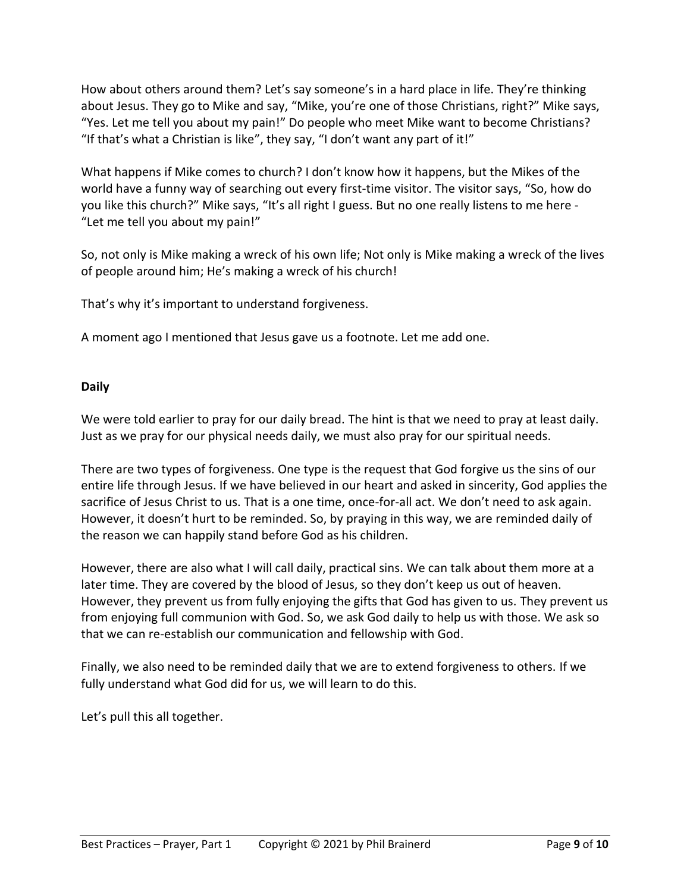How about others around them? Let's say someone's in a hard place in life. They're thinking about Jesus. They go to Mike and say, "Mike, you're one of those Christians, right?" Mike says, "Yes. Let me tell you about my pain!" Do people who meet Mike want to become Christians? "If that's what a Christian is like", they say, "I don't want any part of it!"

What happens if Mike comes to church? I don't know how it happens, but the Mikes of the world have a funny way of searching out every first-time visitor. The visitor says, "So, how do you like this church?" Mike says, "It's all right I guess. But no one really listens to me here - "Let me tell you about my pain!"

So, not only is Mike making a wreck of his own life; Not only is Mike making a wreck of the lives of people around him; He's making a wreck of his church!

That's why it's important to understand forgiveness.

A moment ago I mentioned that Jesus gave us a footnote. Let me add one.

#### **Daily**

We were told earlier to pray for our daily bread. The hint is that we need to pray at least daily. Just as we pray for our physical needs daily, we must also pray for our spiritual needs.

There are two types of forgiveness. One type is the request that God forgive us the sins of our entire life through Jesus. If we have believed in our heart and asked in sincerity, God applies the sacrifice of Jesus Christ to us. That is a one time, once-for-all act. We don't need to ask again. However, it doesn't hurt to be reminded. So, by praying in this way, we are reminded daily of the reason we can happily stand before God as his children.

However, there are also what I will call daily, practical sins. We can talk about them more at a later time. They are covered by the blood of Jesus, so they don't keep us out of heaven. However, they prevent us from fully enjoying the gifts that God has given to us. They prevent us from enjoying full communion with God. So, we ask God daily to help us with those. We ask so that we can re-establish our communication and fellowship with God.

Finally, we also need to be reminded daily that we are to extend forgiveness to others. If we fully understand what God did for us, we will learn to do this.

Let's pull this all together.